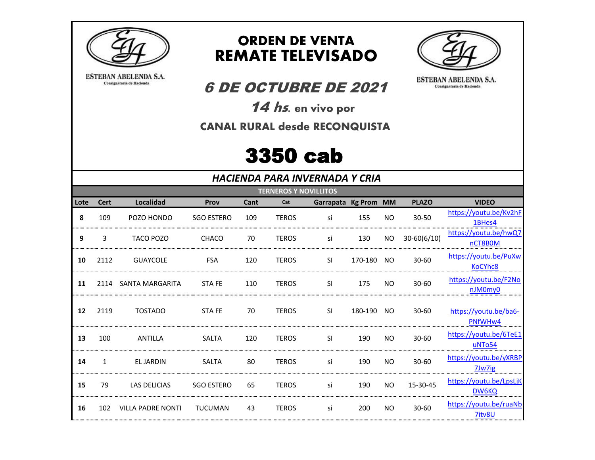

ESTEBAN ABELENDA S.A.

Consignataria de Hacienda

## **ORDEN DE VENTA REMATE TELEVISADO**



ESTEBAN ABELENDA S.A.

Consignataria de Hacienda

## **6 DE OCTUBRE DE 2021**

14 hs. en vivo por

**CANAL RURAL desde RECONQUISTA** 

## **3350 cab**

**HACIENDA PARA INVERNADA Y CRIA** 

|      | <b>TERNEROS Y NOVILLITOS</b> |                          |                   |      |              |                      |         |           |                 |                                              |
|------|------------------------------|--------------------------|-------------------|------|--------------|----------------------|---------|-----------|-----------------|----------------------------------------------|
| Lote | <b>Cert</b>                  | Localidad                | Prov              | Cant | Cat          | Garrapata Kg Prom MM |         |           | <b>PLAZO</b>    | <b>VIDEO</b>                                 |
| 8    | 109                          | POZO HONDO               | <b>SGO ESTERO</b> | 109  | <b>TEROS</b> | si                   | 155     | NO.       | $30 - 50$       | https://youtu.be/Kv2hF<br>1BHes4             |
| 9    | 3                            | TACO POZO                | CHACO             | 70   | <b>TEROS</b> | si                   | 130     | <b>NO</b> | $30 - 60(6/10)$ | https://youtu.be/hwQ7<br>nCT8B0M             |
| 10   | 2112                         | <b>GUAYCOLE</b>          | <b>FSA</b>        | 120  | <b>TEROS</b> | <b>SI</b>            | 170-180 | NO.       | $30 - 60$       | https://youtu.be/PuXw<br>KoCYhc8             |
| 11   |                              | 2114 SANTA MARGARITA     | STA FE            | 110  | <b>TEROS</b> | <b>SI</b>            | 175     | NO.       | $30 - 60$       | https://youtu.be/F2No<br>nJM0my0             |
| 12   | 2119                         | <b>TOSTADO</b>           | STA FE            | 70   | <b>TEROS</b> | <b>SI</b>            | 180-190 | NO.       | $30 - 60$       | https://youtu.be/ba6-<br>PNfWHw4             |
| 13   | 100                          | ANTILLA                  | <b>SALTA</b>      | 120  | <b>TEROS</b> | <b>SI</b>            | 190     | NO.       | $30 - 60$       | https://youtu.be/6TeE1<br>uNTo <sub>54</sub> |
| 14   | 1                            | EL JARDIN                | <b>SALTA</b>      | 80   | <b>TEROS</b> | si                   | 190     | NO.       | $30 - 60$       | https://youtu.be/yXRBP<br>7Jw7ig             |
| 15   | 79                           | <b>LAS DELICIAS</b>      | <b>SGO ESTERO</b> | 65   | <b>TEROS</b> | si                   | 190     | NO.       | 15-30-45        | https://youtu.be/LpsLjK<br><b>DW6KQ</b>      |
| 16   | 102                          | <b>VILLA PADRE NONTI</b> | <b>TUCUMAN</b>    | 43   | <b>TEROS</b> | si                   | 200     | NO.       | $30 - 60$       | https://youtu.be/ruaNb<br>7itv8U             |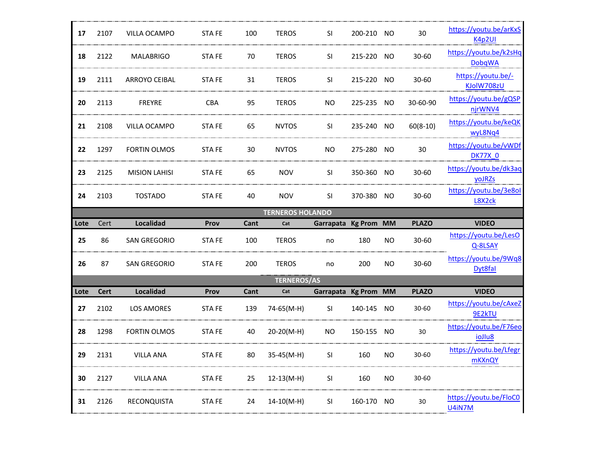| 17   | 2107        | VILLA OCAMPO         | STA FE       | 100  | <b>TEROS</b>            | <b>SI</b>            | 200-210 NO |           | 30           | https://youtu.be/arKxS<br>K4p2UI        |
|------|-------------|----------------------|--------------|------|-------------------------|----------------------|------------|-----------|--------------|-----------------------------------------|
| 18   | 2122        | <b>MALABRIGO</b>     | <b>STAFE</b> | 70   | <b>TEROS</b>            | <b>SI</b>            | 215-220 NO |           | $30 - 60$    | https://voutu.be/k2sHq<br><b>DobqWA</b> |
| 19   | 2111        | <b>ARROYO CEIBAL</b> | STA FE       | 31   | <b>TEROS</b>            | SI.                  | 215-220 NO |           | 30-60        | https://youtu.be/-<br>KJolW708zU        |
| 20   | 2113        | <b>FREYRE</b>        | <b>CBA</b>   | 95   | <b>TEROS</b>            | <b>NO</b>            | 225-235 NO |           | 30-60-90     | https://youtu.be/gQSP<br>njrWNV4        |
| 21   | 2108        | VILLA OCAMPO         | STA FE       | 65   | <b>NVTOS</b>            | SI.                  | 235-240 NO |           | $60(8-10)$   | https://youtu.be/keQK<br>wyL8Nq4        |
| 22   | 1297        | <b>FORTIN OLMOS</b>  | <b>STAFE</b> | 30   | <b>NVTOS</b>            | <b>NO</b>            | 275-280 NO |           | 30           | https://youtu.be/vWDf<br><b>DK77X 0</b> |
| 23   | 2125        | <b>MISION LAHISI</b> | <b>STAFE</b> | 65   | <b>NOV</b>              | SI                   | 350-360 NO |           | 30-60        | https://voutu.be/dk3ag<br><b>yoJRZs</b> |
| 24   | 2103        | <b>TOSTADO</b>       | STA FE       | 40   | <b>NOV</b>              | SI.                  | 370-380 NO |           | 30-60        | https://youtu.be/3e8ol<br>L8X2ck        |
|      |             |                      |              |      | <b>TERNEROS HOLANDO</b> |                      |            |           |              |                                         |
|      |             |                      |              |      |                         |                      |            |           |              |                                         |
| Lote | Cert        | <b>Localidad</b>     | Prov         | Cant | Cat                     | Garrapata Kg Prom    |            | <b>MM</b> | <b>PLAZO</b> | <b>VIDEO</b>                            |
| 25   | 86          | SAN GREGORIO         | STA FE       | 100  | <b>TEROS</b>            | no                   | 180        | NO.       | 30-60        | https://youtu.be/LesO<br>Q-8LSAY        |
| 26   | 87          | <b>SAN GREGORIO</b>  | STA FE       | 200  | <b>TEROS</b>            | no                   | 200        | NO.       | 30-60        | Dyt8fal                                 |
|      |             |                      |              |      | <b>TERNEROS/AS</b>      |                      |            |           |              | https://youtu.be/9Wq8                   |
| Lote | <b>Cert</b> | <b>Localidad</b>     | Prov         | Cant | Cat                     | Garrapata Kg Prom MM |            |           | <b>PLAZO</b> | <b>VIDEO</b>                            |
| 27   | 2102        | <b>LOS AMORES</b>    | <b>STAFE</b> | 139  | 74-65(M-H)              | <b>SI</b>            | 140-145    | <b>NO</b> | $30 - 60$    | https://youtu.be/cAxeZ<br>9E2kTU        |
| 28   | 1298        | FORTIN OLMOS         | <b>STAFE</b> | 40   | 20-20(M-H)              | NO.                  | 150-155 NO |           | 30           | https://youtu.be/F76eo<br>ioJlu8        |
| 29   | 2131        | VILLA ANA            | STA FE       | 80   | 35-45(M-H)              | <b>SI</b>            | 160        | NO.       | 30-60        | https://youtu.be/Lfegr<br>mKXnQY        |
| 30   | 2127        | VILLA ANA            | STA FE       | 25   | $12-13(M-H)$            | SI                   | 160        | <b>NO</b> | 30-60        |                                         |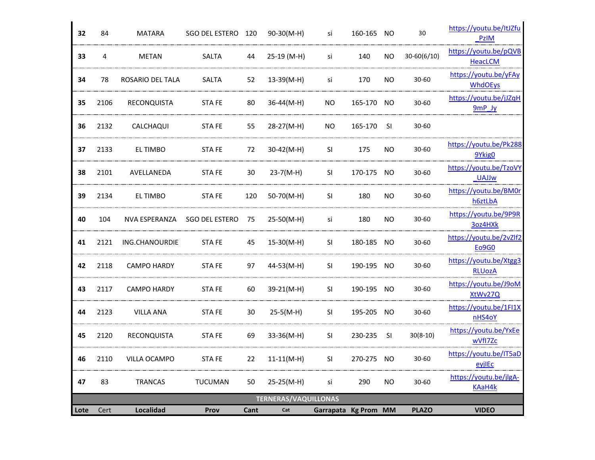| 32   | 84   | MATARA             | SGO DEL ESTERO        | 120  | 90-30(M-H)                  | si                   | 160-165    | NO        | 30           | https://youtu.be/ItJZfu<br><b>PzIM</b>  |
|------|------|--------------------|-----------------------|------|-----------------------------|----------------------|------------|-----------|--------------|-----------------------------------------|
| 33   | 4    | METAN              | SALTA                 | 44   | 25-19 (M-H)                 | si                   | 140        | <b>NO</b> | 30-60(6/10)  | https://youtu.be/pQVB<br>HeacLCM        |
| 34   | 78   | ROSARIO DEL TALA   | SALTA                 | 52   | $13-39(M-H)$                | si                   | 170        | <b>NO</b> | 30-60        | https://youtu.be/yFAy<br><b>WhdOEys</b> |
| 35   | 2106 | <b>RECONQUISTA</b> | <b>STAFE</b>          | 80   | $36-44(M-H)$                | NO                   | 165-170    | NO        | 30-60        | https://youtu.be/jJZqH<br>$9mP$ Jy      |
| 36   | 2132 | CALCHAQUI          | <b>STAFE</b>          | 55   | 28-27(M-H)                  | NO.                  | 165-170 SI |           | $30 - 60$    |                                         |
| 37   | 2133 | EL TIMBO           | <b>STAFE</b>          | 72   | $30-42(M-H)$                | <b>SI</b>            | 175        | <b>NO</b> | 30-60        | https://youtu.be/Pk288<br>9Ykig0        |
| 38   | 2101 | AVELLANEDA         | STA FE                | 30   | $23-7(M-H)$                 | SI                   | 170-175    | <b>NO</b> | 30-60        | https://youtu.be/TzoVY<br><b>UAJJw</b>  |
| 39   | 2134 | EL TIMBO           | <b>STAFE</b>          | 120  | 50-70(M-H)                  | SI.                  | 180        | <b>NO</b> | 30-60        | https://voutu.be/BM0r<br>h6ztLbA        |
| 40   | 104  | NVA ESPERANZA      | <b>SGO DEL ESTERO</b> | 75   | $25-50(M-H)$                | si                   | 180        | <b>NO</b> | 30-60        | https://youtu.be/9P9R<br>3oz4HXk        |
| 41   | 2121 | ING.CHANOURDIE     | <b>STAFE</b>          | 45   | $15-30(M-H)$                | SI                   | 180-185    | <b>NO</b> | 30-60        | https://youtu.be/2vZlf2<br>Eo9G0        |
| 42   | 2118 | <b>CAMPO HARDY</b> | <b>STAFE</b>          | 97   | 44-53(M-H)                  | <b>SI</b>            | 190-195    | NO.       | 30-60        | https://youtu.be/Xtgg3<br><b>RLUozA</b> |
| 43   | 2117 | <b>CAMPO HARDY</b> | <b>STAFE</b>          | 60   | 39-21(M-H)                  | SI                   | 190-195 NO |           | $30 - 60$    | https://youtu.be/J9oM<br>XtWv27Q        |
| 44   | 2123 | <b>VILLA ANA</b>   | <b>STAFE</b>          | 30   | $25-5(M-H)$                 | <b>SI</b>            | 195-205    | NO        | 30-60        | https://youtu.be/1FI1X<br>nHS4oY        |
| 45   | 2120 | RECONQUISTA        | STA FE                | 69   | 33-36(M-H)                  | SI.                  | 230-235 SI |           | $30(8-10)$   | https://youtu.be/YxEe<br>wVfI7Zc        |
| 46   | 2110 | VILLA OCAMPO       | STA FE                | 22   | $11-11(M-H)$                | SI                   | 270-275 NO |           | 30-60        | https://youtu.be/IT5aD<br>eyjlEc        |
| 47   | 83   | <b>TRANCAS</b>     | <b>TUCUMAN</b>        | 50   | 25-25(M-H)                  | si                   | 290        | <b>NO</b> | $30 - 60$    | https://youtu.be/jlgA-<br>KAaH4k        |
|      |      |                    |                       |      | <b>TERNERAS/VAQUILLONAS</b> |                      |            |           |              |                                         |
| Lote | Cert | Localidad          | Prov                  | Cant | Cat                         | Garrapata Kg Prom MM |            |           | <b>PLAZO</b> | <b>VIDEO</b>                            |